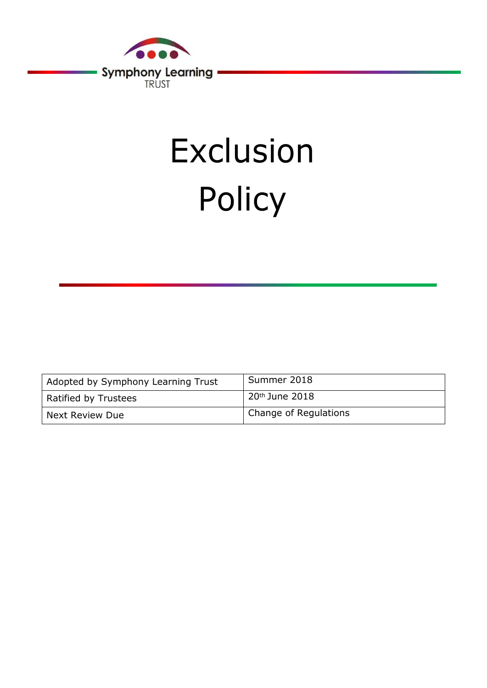

# Exclusion Policy

| Adopted by Symphony Learning Trust | Summer 2018           |
|------------------------------------|-----------------------|
| Ratified by Trustees               | $20th$ June 2018      |
| l Next Review Due                  | Change of Regulations |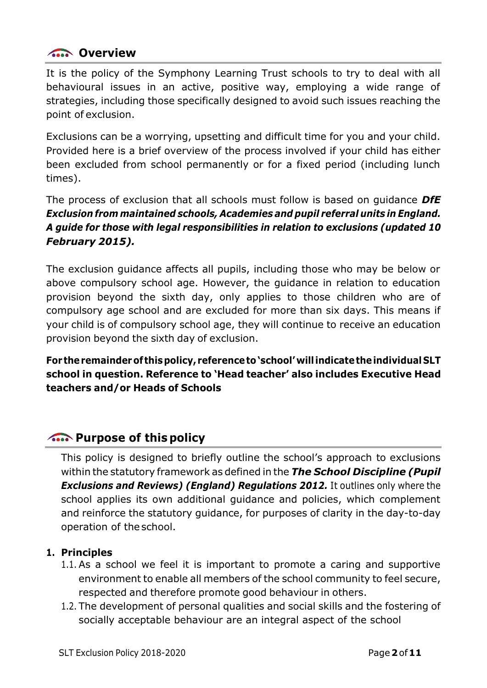# **Control** Overview

It is the policy of the Symphony Learning Trust schools to try to deal with all behavioural issues in an active, positive way, employing a wide range of strategies, including those specifically designed to avoid such issues reaching the point of exclusion.

Exclusions can be a worrying, upsetting and difficult time for you and your child. Provided here is a brief overview of the process involved if your child has either been excluded from school permanently or for a fixed period (including lunch times).

The process of exclusion that all schools must follow is based on guidance *DfE Exclusion from maintained schools, Academies and pupil referral units in England. A guide for those with legal responsibilities in relation to exclusions (updated 10 February 2015).*

The exclusion guidance affects all pupils, including those who may be below or above compulsory school age. However, the guidance in relation to education provision beyond the sixth day, only applies to those children who are of compulsory age school and are excluded for more than six days. This means if your child is of compulsory school age, they will continue to receive an education provision beyond the sixth day of exclusion.

**For theremainderof thispolicy, referenceto'school'willindicatetheindividual SLT school in question. Reference to 'Head teacher' also includes Executive Head teachers and/or Heads of Schools**

# **Also Purpose of this policy**

This policy is designed to briefly outline the school's approach to exclusions within the statutory framework as defined in the *The School Discipline (Pupil Exclusions and Reviews) (England) Regulations 2012.* It outlines only where the school applies its own additional guidance and policies, which complement and reinforce the statutory guidance, for purposes of clarity in the day-to-day operation of the school.

#### **1. Principles**

- 1.1. As a school we feel it is important to promote a caring and supportive environment to enable all members of the school community to feel secure, respected and therefore promote good behaviour in others.
- 1.2. The development of personal qualities and social skills and the fostering of socially acceptable behaviour are an integral aspect of the school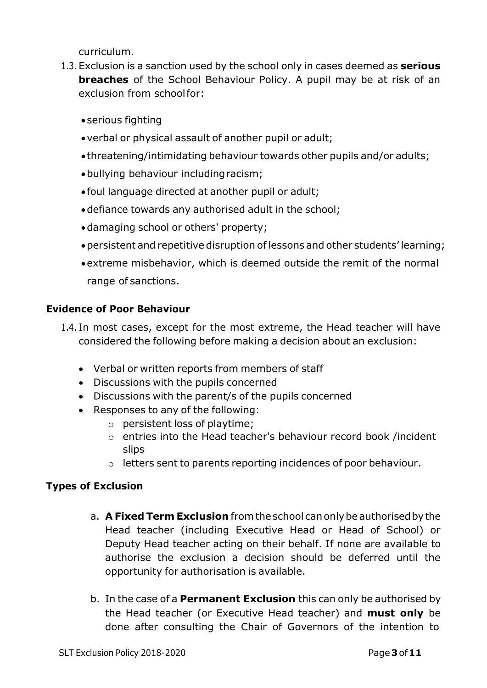curriculum.

- 1.3. Exclusion is a sanction used by the school only in cases deemed as **serious breaches** of the School Behaviour Policy. A pupil may be at risk of an exclusion from schoolfor:
	- serious fighting
	- verbal or physical assault of another pupil or adult;
	- threatening/intimidating behaviour towards other pupils and/or adults;
	- bullying behaviour includingracism;
	- foul language directed at another pupil or adult;
	- defiance towards any authorised adult in the school;
	- damaging school or others' property;
	- persistent and repetitive disruption of lessons and other students' learning;
	- extreme misbehavior, which is deemed outside the remit of the normal range of sanctions.

### **Evidence of Poor Behaviour**

- 1.4. In most cases, except for the most extreme, the Head teacher will have considered the following before making a decision about an exclusion:
	- Verbal or written reports from members of staff
	- Discussions with the pupils concerned
	- Discussions with the parent/s of the pupils concerned
	- Responses to any of the following:
		- o persistent loss of playtime;
			- o entries into the Head teacher's behaviour record book /incident slips
			- o letters sent to parents reporting incidences of poor behaviour.

## **Types of Exclusion**

- a. **A Fixed Term Exclusion** fromtheschool canonlybeauthorisedbythe Head teacher (including Executive Head or Head of School) or Deputy Head teacher acting on their behalf. If none are available to authorise the exclusion a decision should be deferred until the opportunity for authorisation is available.
- b. In the case of a **Permanent Exclusion** this can only be authorised by the Head teacher (or Executive Head teacher) and **must only** be done after consulting the Chair of Governors of the intention to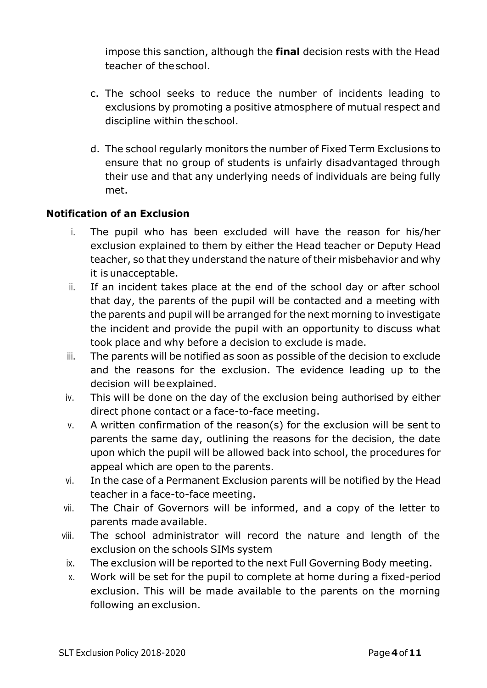impose this sanction, although the **final** decision rests with the Head teacher of theschool.

- c. The school seeks to reduce the number of incidents leading to exclusions by promoting a positive atmosphere of mutual respect and discipline within theschool.
- d. The school regularly monitors the number of Fixed Term Exclusions to ensure that no group of students is unfairly disadvantaged through their use and that any underlying needs of individuals are being fully met.

### **Notification of an Exclusion**

- i. The pupil who has been excluded will have the reason for his/her exclusion explained to them by either the Head teacher or Deputy Head teacher, so that they understand the nature of their misbehavior and why it is unacceptable.
- ii. If an incident takes place at the end of the school day or after school that day, the parents of the pupil will be contacted and a meeting with the parents and pupil will be arranged for the next morning to investigate the incident and provide the pupil with an opportunity to discuss what took place and why before a decision to exclude is made.
- iii. The parents will be notified as soon as possible of the decision to exclude and the reasons for the exclusion. The evidence leading up to the decision will beexplained.
- iv. This will be done on the day of the exclusion being authorised by either direct phone contact or a face-to-face meeting.
- v. A written confirmation of the reason(s) for the exclusion will be sent to parents the same day, outlining the reasons for the decision, the date upon which the pupil will be allowed back into school, the procedures for appeal which are open to the parents.
- vi. In the case of a Permanent Exclusion parents will be notified by the Head teacher in a face-to-face meeting.
- vii. The Chair of Governors will be informed, and a copy of the letter to parents made available.
- viii. The school administrator will record the nature and length of the exclusion on the schools SIMs system
- ix. The exclusion will be reported to the next Full Governing Body meeting.
- x. Work will be set for the pupil to complete at home during a fixed-period exclusion. This will be made available to the parents on the morning following an exclusion.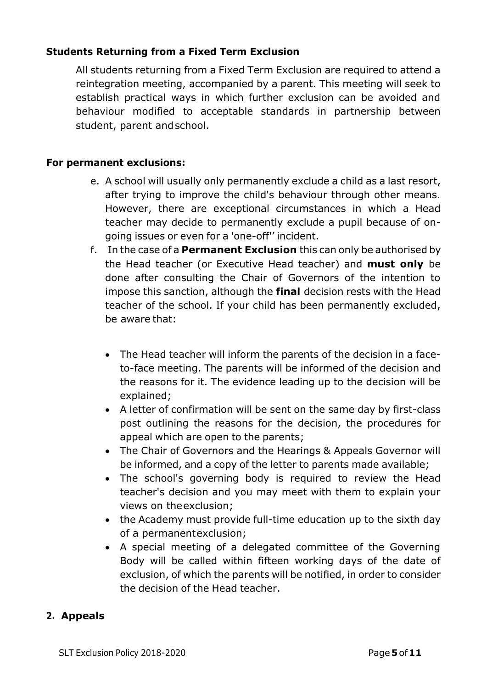### **Students Returning from a Fixed Term Exclusion**

All students returning from a Fixed Term Exclusion are required to attend a reintegration meeting, accompanied by a parent. This meeting will seek to establish practical ways in which further exclusion can be avoided and behaviour modified to acceptable standards in partnership between student, parent andschool.

#### **For permanent exclusions:**

- e. A school will usually only permanently exclude a child as a last resort, after trying to improve the child's behaviour through other means. However, there are exceptional circumstances in which a Head teacher may decide to permanently exclude a pupil because of ongoing issues or even for a 'one-off'' incident.
- f. In the case of a **Permanent Exclusion** this can only be authorised by the Head teacher (or Executive Head teacher) and **must only** be done after consulting the Chair of Governors of the intention to impose this sanction, although the **final** decision rests with the Head teacher of the school. If your child has been permanently excluded, be aware that:
	- The Head teacher will inform the parents of the decision in a faceto-face meeting. The parents will be informed of the decision and the reasons for it. The evidence leading up to the decision will be explained;
	- A letter of confirmation will be sent on the same day by first-class post outlining the reasons for the decision, the procedures for appeal which are open to the parents;
	- The Chair of Governors and the Hearings & Appeals Governor will be informed, and a copy of the letter to parents made available;
	- The school's governing body is required to review the Head teacher's decision and you may meet with them to explain your views on theexclusion;
	- the Academy must provide full-time education up to the sixth day of a permanentexclusion;
	- A special meeting of a delegated committee of the Governing Body will be called within fifteen working days of the date of exclusion, of which the parents will be notified, in order to consider the decision of the Head teacher.

### **2. Appeals**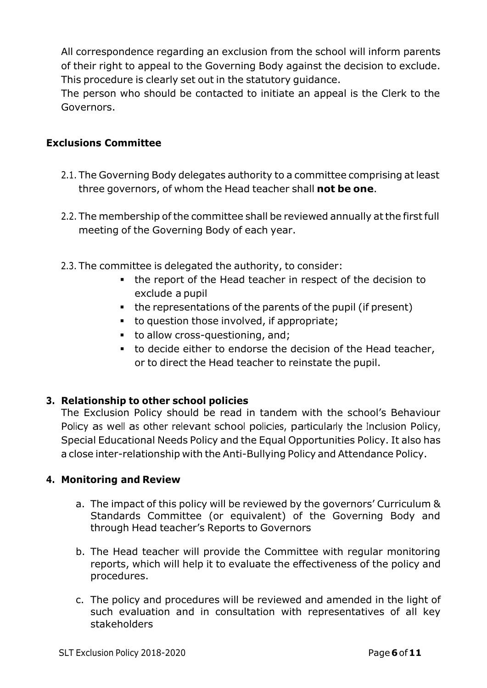All correspondence regarding an exclusion from the school will inform parents of their right to appeal to the Governing Body against the decision to exclude. This procedure is clearly set out in the statutory guidance.

The person who should be contacted to initiate an appeal is the Clerk to the Governors.

#### **Exclusions Committee**

- 2.1. The Governing Body delegates authority to a committee comprising at least three governors, of whom the Head teacher shall **not be one**.
- 2.2. The membership of the committee shall be reviewed annually at the first full meeting of the Governing Body of each year.
- 2.3. The committee is delegated the authority, to consider:
	- the report of the Head teacher in respect of the decision to exclude a pupil
	- the representations of the parents of the pupil (if present)
	- to question those involved, if appropriate;
	- to allow cross-questioning, and;
	- to decide either to endorse the decision of the Head teacher, or to direct the Head teacher to reinstate the pupil.

#### **3. Relationship to other school policies**

The Exclusion Policy should be read in tandem with the school's Behaviour Policy as well as other relevant school policies, particularly the Inclusion Policy, Special Educational Needs Policy and the Equal Opportunities Policy. It also has a close inter-relationship with the Anti-Bullying Policy and Attendance Policy.

#### **4. Monitoring and Review**

- a. The impact of this policy will be reviewed by the governors' Curriculum & Standards Committee (or equivalent) of the Governing Body and through Head teacher's Reports to Governors
- b. The Head teacher will provide the Committee with regular monitoring reports, which will help it to evaluate the effectiveness of the policy and procedures.
- c. The policy and procedures will be reviewed and amended in the light of such evaluation and in consultation with representatives of all key stakeholders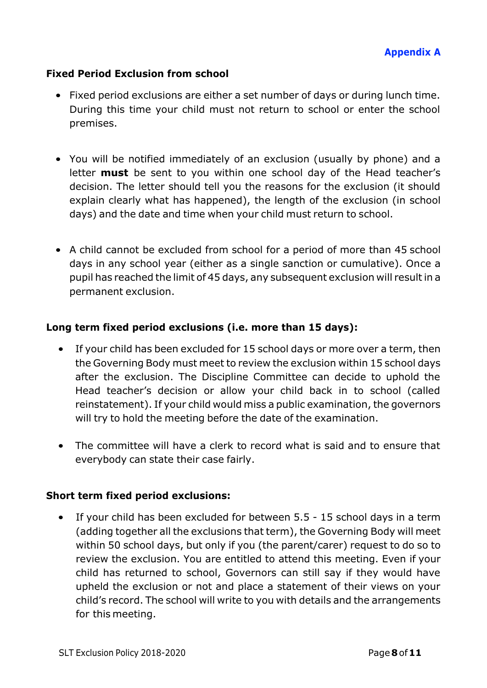#### **Fixed Period Exclusion from school**

- Fixed period exclusions are either a set number of days or during lunch time. During this time your child must not return to school or enter the school premises.
- You will be notified immediately of an exclusion (usually by phone) and a letter **must** be sent to you within one school day of the Head teacher's decision. The letter should tell you the reasons for the exclusion (it should explain clearly what has happened), the length of the exclusion (in school days) and the date and time when your child must return to school.
- A child cannot be excluded from school for a period of more than 45 school days in any school year (either as a single sanction or cumulative). Once a pupil has reached the limit of 45 days, any subsequent exclusion will result in a permanent exclusion.

#### **Long term fixed period exclusions (i.e. more than 15 days):**

- If your child has been excluded for 15 school days or more over a term, then the Governing Body must meet to review the exclusion within 15 school days after the exclusion. The Discipline Committee can decide to uphold the Head teacher's decision or allow your child back in to school (called reinstatement). If your child would miss a public examination, the governors will try to hold the meeting before the date of the examination.
- The committee will have a clerk to record what is said and to ensure that everybody can state their case fairly.

#### **Short term fixed period exclusions:**

• If your child has been excluded for between 5.5 - 15 school days in a term (adding together all the exclusions that term), the Governing Body will meet within 50 school days, but only if you (the parent/carer) request to do so to review the exclusion. You are entitled to attend this meeting. Even if your child has returned to school, Governors can still say if they would have upheld the exclusion or not and place a statement of their views on your child's record. The school will write to you with details and the arrangements for this meeting.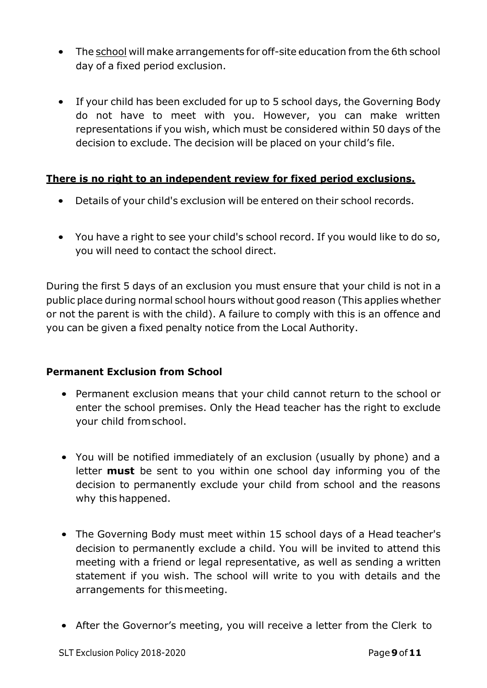- The school will make arrangements for off-site education from the 6th school day of a fixed period exclusion.
- If your child has been excluded for up to 5 school days, the Governing Body do not have to meet with you. However, you can make written representations if you wish, which must be considered within 50 days of the decision to exclude. The decision will be placed on your child's file.

## **There is no right to an independent review for fixed period exclusions.**

- Details of your child's exclusion will be entered on their school records.
- You have a right to see your child's school record. If you would like to do so, you will need to contact the school direct.

During the first 5 days of an exclusion you must ensure that your child is not in a public place during normal school hours without good reason (This applies whether or not the parent is with the child). A failure to comply with this is an offence and you can be given a fixed penalty notice from the Local Authority.

### **Permanent Exclusion from School**

- Permanent exclusion means that your child cannot return to the school or enter the school premises. Only the Head teacher has the right to exclude your child fromschool.
- You will be notified immediately of an exclusion (usually by phone) and a letter **must** be sent to you within one school day informing you of the decision to permanently exclude your child from school and the reasons why this happened.
- The Governing Body must meet within 15 school days of a Head teacher's decision to permanently exclude a child. You will be invited to attend this meeting with a friend or legal representative, as well as sending a written statement if you wish. The school will write to you with details and the arrangements for thismeeting.
- After the Governor's meeting, you will receive a letter from the Clerk to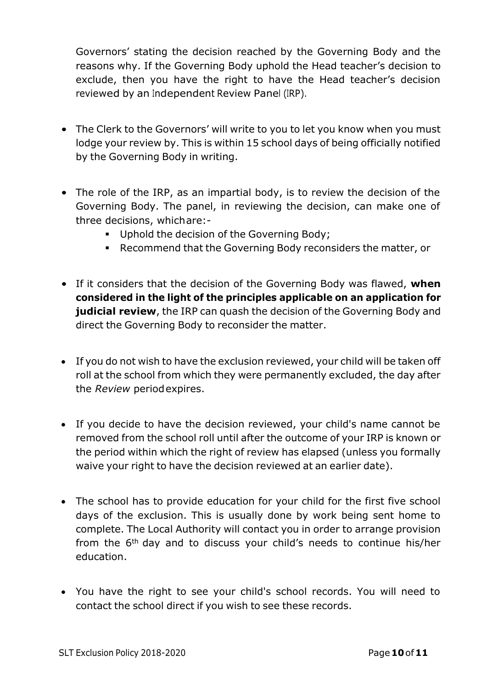Governors' stating the decision reached by the Governing Body and the reasons why. If the Governing Body uphold the Head teacher's decision to exclude, then you have the right to have the Head teacher's decision reviewed by an Independent Review Panel (IRP).

- The Clerk to the Governors' will write to you to let you know when you must lodge your review by. This is within 15 school days of being officially notified by the Governing Body in writing.
- The role of the IRP, as an impartial body, is to review the decision of the Governing Body. The panel, in reviewing the decision, can make one of three decisions, whichare:-
	- Uphold the decision of the Governing Body;
	- Recommend that the Governing Body reconsiders the matter, or
- If it considers that the decision of the Governing Body was flawed, **when considered in the light of the principles applicable on an application for judicial review**, the IRP can quash the decision of the Governing Body and direct the Governing Body to reconsider the matter.
- If you do not wish to have the exclusion reviewed, your child will be taken off roll at the school from which they were permanently excluded, the day after the *Review* periodexpires.
- If you decide to have the decision reviewed, your child's name cannot be removed from the school roll until after the outcome of your IRP is known or the period within which the right of review has elapsed (unless you formally waive your right to have the decision reviewed at an earlier date).
- The school has to provide education for your child for the first five school days of the exclusion. This is usually done by work being sent home to complete. The Local Authority will contact you in order to arrange provision from the 6th day and to discuss your child's needs to continue his/her education.
- You have the right to see your child's school records. You will need to contact the school direct if you wish to see these records.